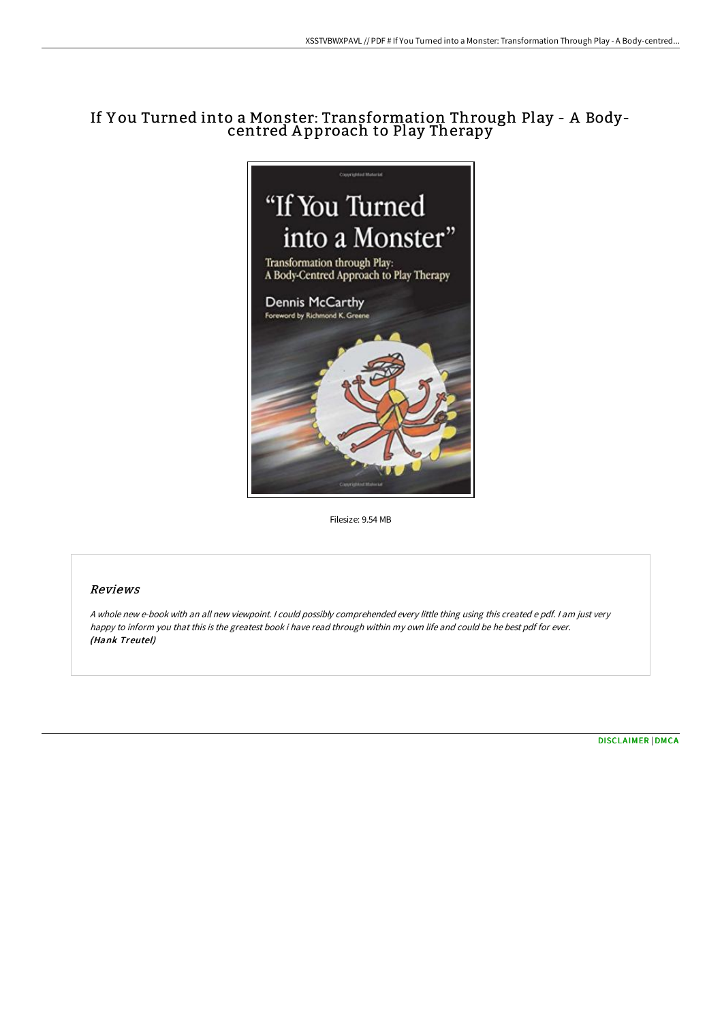# If Y ou Turned into a Monster: Transformation Through Play - A Bodycentred A pproach to Play Therapy



Filesize: 9.54 MB

# Reviews

<sup>A</sup> whole new e-book with an all new viewpoint. <sup>I</sup> could possibly comprehended every little thing using this created <sup>e</sup> pdf. <sup>I</sup> am just very happy to inform you that this is the greatest book i have read through within my own life and could be he best pdf for ever. (Hank Treutel)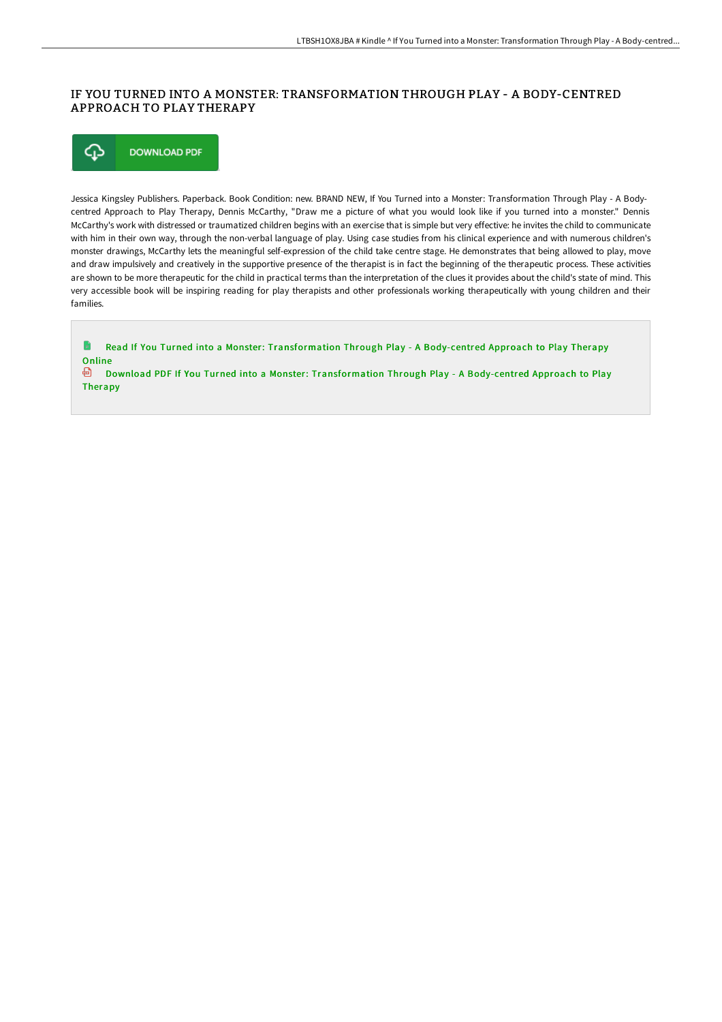# IF YOU TURNED INTO A MONSTER: TRANSFORMATION THROUGH PLAY - A BODY-CENTRED APPROACH TO PLAY THERAPY

⊕ **DOWNLOAD PDF** 

Jessica Kingsley Publishers. Paperback. Book Condition: new. BRAND NEW, If You Turned into a Monster: Transformation Through Play - A Bodycentred Approach to Play Therapy, Dennis McCarthy, "Draw me a picture of what you would look like if you turned into a monster." Dennis McCarthy's work with distressed or traumatized children begins with an exercise that is simple but very effective: he invites the child to communicate with him in their own way, through the non-verbal language of play. Using case studies from his clinical experience and with numerous children's monster drawings, McCarthy lets the meaningful self-expression of the child take centre stage. He demonstrates that being allowed to play, move and draw impulsively and creatively in the supportive presence of the therapist is in fact the beginning of the therapeutic process. These activities are shown to be more therapeutic for the child in practical terms than the interpretation of the clues it provides about the child's state of mind. This very accessible book will be inspiring reading for play therapists and other professionals working therapeutically with young children and their families.

**D** Read If You Turned into a Monster: [Transformation](http://techno-pub.tech/if-you-turned-into-a-monster-transformation-thro.html) Through Play - A Body-centred Approach to Play Therapy **Online** Download PDF If You Turned into a Monster: [Transformation](http://techno-pub.tech/if-you-turned-into-a-monster-transformation-thro.html) Through Play - A Body-centred Approach to Play Therapy